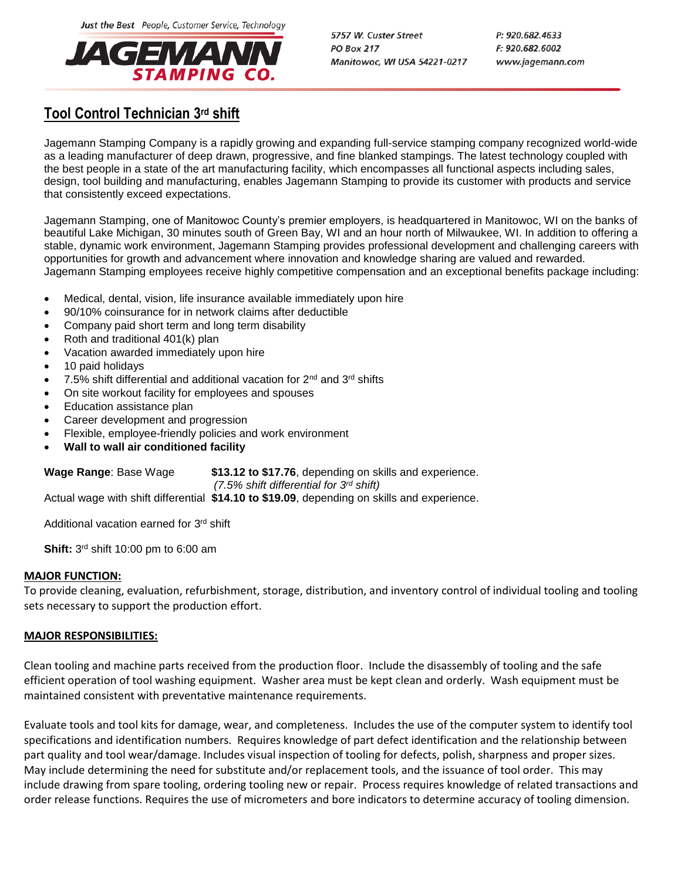Just the Best People, Customer Service, Technology



5757 W. Custer Street **PO Box 217** Manitowoc, WI USA 54221-0217 P: 920.682.4633  $F: 920.682.6002$ www.jagemann.com

## **Tool Control Technician 3 rd shift**

Jagemann Stamping Company is a rapidly growing and expanding full-service stamping company recognized world-wide as a leading manufacturer of deep drawn, progressive, and fine blanked stampings. The latest technology coupled with the best people in a state of the art manufacturing facility, which encompasses all functional aspects including sales, design, tool building and manufacturing, enables Jagemann Stamping to provide its customer with products and service that consistently exceed expectations.

Jagemann Stamping, one of Manitowoc County's premier employers, is headquartered in Manitowoc, WI on the banks of beautiful Lake Michigan, 30 minutes south of Green Bay, WI and an hour north of Milwaukee, WI. In addition to offering a stable, dynamic work environment, Jagemann Stamping provides professional development and challenging careers with opportunities for growth and advancement where innovation and knowledge sharing are valued and rewarded. Jagemann Stamping employees receive highly competitive compensation and an exceptional benefits package including:

- Medical, dental, vision, life insurance available immediately upon hire
- 90/10% coinsurance for in network claims after deductible
- Company paid short term and long term disability
- Roth and traditional 401(k) plan
- Vacation awarded immediately upon hire
- 10 paid holidays
- 7.5% shift differential and additional vacation for 2nd and 3rd shifts
- On site workout facility for employees and spouses
- Education assistance plan
- Career development and progression
- Flexible, employee-friendly policies and work environment
- **Wall to wall air conditioned facility**

| <b>Wage Range: Base Wage</b> | \$13.12 to \$17.76, depending on skills and experience.                                     |
|------------------------------|---------------------------------------------------------------------------------------------|
|                              | $(7.5\%$ shift differential for 3 <sup>rd</sup> shift)                                      |
|                              | Actual wage with shift differential \$14.10 to \$19.09, depending on skills and experience. |

Additional vacation earned for 3<sup>rd</sup> shift

**Shift:** 3<sup>rd</sup> shift 10:00 pm to 6:00 am

## **MAJOR FUNCTION:**

To provide cleaning, evaluation, refurbishment, storage, distribution, and inventory control of individual tooling and tooling sets necessary to support the production effort.

## **MAJOR RESPONSIBILITIES:**

Clean tooling and machine parts received from the production floor. Include the disassembly of tooling and the safe efficient operation of tool washing equipment. Washer area must be kept clean and orderly. Wash equipment must be maintained consistent with preventative maintenance requirements.

Evaluate tools and tool kits for damage, wear, and completeness. Includes the use of the computer system to identify tool specifications and identification numbers. Requires knowledge of part defect identification and the relationship between part quality and tool wear/damage. Includes visual inspection of tooling for defects, polish, sharpness and proper sizes. May include determining the need for substitute and/or replacement tools, and the issuance of tool order. This may include drawing from spare tooling, ordering tooling new or repair. Process requires knowledge of related transactions and order release functions. Requires the use of micrometers and bore indicators to determine accuracy of tooling dimension.